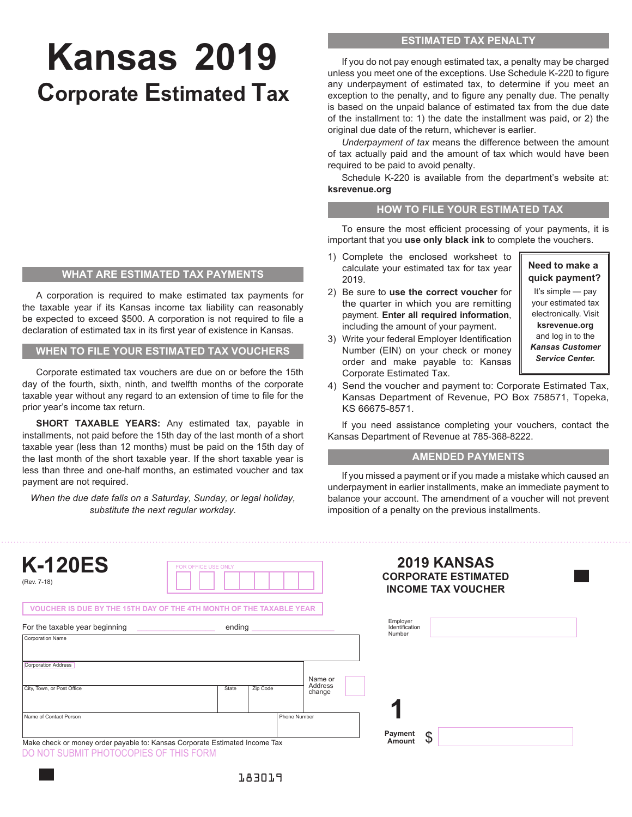# **Kansas 2019 Corporate Estimated Tax**

#### **WHAT ARE ESTIMATED TAX PAYMENTS**

A corporation is required to make estimated tax payments for the taxable year if its Kansas income tax liability can reasonably be expected to exceed \$500. A corporation is not required to file a declaration of estimated tax in its first year of existence in Kansas.

**WHEN TO FILE YOUR ESTIMATED TAX VOUCHERS**

Corporate estimated tax vouchers are due on or before the 15th day of the fourth, sixth, ninth, and twelfth months of the corporate taxable year without any regard to an extension of time to file for the prior year's income tax return.

**SHORT TAXABLE YEARS:** Any estimated tax, payable in installments, not paid before the 15th day of the last month of a short taxable year (less than 12 months) must be paid on the 15th day of the last month of the short taxable year. If the short taxable year is less than three and one-half months, an estimated voucher and tax payment are not required.

*When the due date falls on a Saturday, Sunday, or legal holiday, substitute the next regular workday.*

## **ESTIMATED TAX PENALTY**

If you do not pay enough estimated tax, a penalty may be charged unless you meet one of the exceptions. Use Schedule K-220 to figure any underpayment of estimated tax, to determine if you meet an exception to the penalty, and to figure any penalty due. The penalty is based on the unpaid balance of estimated tax from the due date of the installment to: 1) the date the installment was paid, or 2) the original due date of the return, whichever is earlier.

*Underpayment of tax* means the difference between the amount of tax actually paid and the amount of tax which would have been required to be paid to avoid penalty.

Schedule K-220 is available from the department's website at: **ksrevenue.org**

#### **HOW TO FILE YOUR ESTIMATED TAX**

To ensure the most efficient processing of your payments, it is important that you **use only black ink** to complete the vouchers.

- 1) Complete the enclosed worksheet to calculate your estimated tax for tax year 2019.
- 2) Be sure to **use the correct voucher** for the quarter in which you are remitting payment. **Enter all required information**, including the amount of your payment.
- 3) Write your federal Employer Identification Number (EIN) on your check or money order and make payable to: Kansas Corporate Estimated Tax.

**Need to make a quick payment?**

It's simple — pay your estimated tax electronically. Visit **ksrevenue.org** and log in to the *Kansas Customer Service Center.*

4) Send the voucher and payment to: Corporate Estimated Tax, Kansas Department of Revenue, PO Box 758571, Topeka, KS 66675-8571.

If you need assistance completing your vouchers, contact the Kansas Department of Revenue at 785-368-8222.

#### **AMENDED PAYMENTS**

If you missed a payment or if you made a mistake which caused an underpayment in earlier installments, make an immediate payment to balance your account. The amendment of a voucher will not prevent imposition of a penalty on the previous installments.

| <b>K-120ES</b><br>(Rev. 7-18)                                               | <b>FOR OFFICE USE ONLY</b> |          |                   |                                      | <b>2019 KANSAS</b><br><b>CORPORATE ESTIMATED</b><br><b>INCOME TAX VOUCHER</b> |
|-----------------------------------------------------------------------------|----------------------------|----------|-------------------|--------------------------------------|-------------------------------------------------------------------------------|
| VOUCHER IS DUE BY THE 15TH DAY OF THE 4TH MONTH OF THE TAXABLE YEAR         |                            |          |                   |                                      |                                                                               |
| For the taxable year beginning                                              | ending                     |          |                   | Employer<br>Identification<br>Number |                                                                               |
| <b>Corporation Address</b>                                                  |                            |          | Name or           |                                      |                                                                               |
| City, Town, or Post Office                                                  | State                      | Zip Code | Address<br>change |                                      |                                                                               |
| Name of Contact Person                                                      |                            |          | Phone Number      |                                      |                                                                               |
| Make check or money order payable to: Kansas Corporate Estimated Income Tax |                            |          |                   | Payment<br>\$<br>Amount              |                                                                               |
| NOT SUBMIT PHOTOCOPIES OF THIS FORM                                         |                            |          |                   |                                      |                                                                               |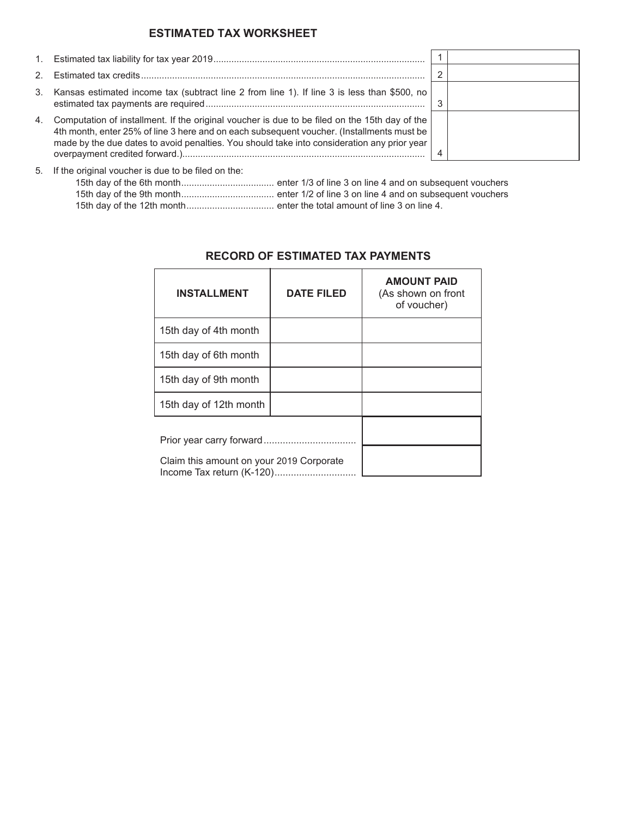## **ESTIMATED TAX WORKSHEET**

| 1.          |                                                                                                                                                                                                                                                                                           |  |
|-------------|-------------------------------------------------------------------------------------------------------------------------------------------------------------------------------------------------------------------------------------------------------------------------------------------|--|
| $2^{\circ}$ |                                                                                                                                                                                                                                                                                           |  |
| 3.          | Kansas estimated income tax (subtract line 2 from line 1). If line 3 is less than \$500, no                                                                                                                                                                                               |  |
| 4.          | Computation of installment. If the original voucher is due to be filed on the 15th day of the<br>4th month, enter 25% of line 3 here and on each subsequent voucher. (Installments must be<br>made by the due dates to avoid penalties. You should take into consideration any prior year |  |

5. If the original voucher is due to be filed on the:

# **INSTALLMENT DATE FILED AMOUNT PAID** (As shown on front of voucher) 15th day of 4th month 15th day of 6th month 15th day of 9th month 15th day of 12th month Prior year carry forward.................................. Claim this amount on your 2019 Corporate Income Tax return (K-120)..............................

# **RECORD OF ESTIMATED TAX PAYMENTS**